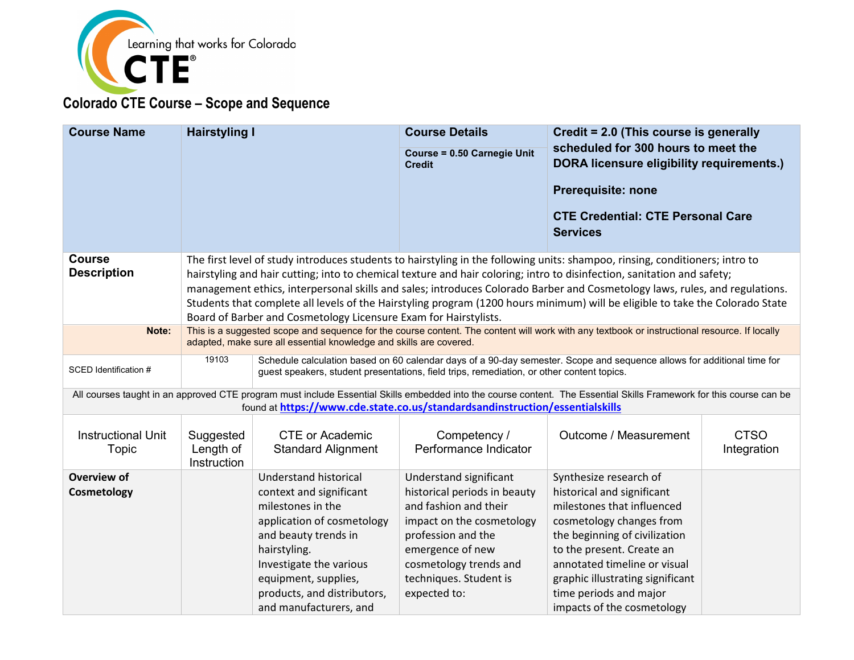

| <b>Course Name</b>                  | <b>Hairstyling I</b>                                                                                                                                                                                                                                                                                                                                                                                                                                                                                                                                                                        |                                                                                                                                                                                                                                                         | <b>Course Details</b><br><b>Course = 0.50 Carnegie Unit</b><br><b>Credit</b>                                                                                                                                               | Credit = 2.0 (This course is generally<br>scheduled for 300 hours to meet the<br><b>DORA licensure eligibility requirements.)</b><br><b>Prerequisite: none</b><br><b>CTE Credential: CTE Personal Care</b><br><b>Services</b>                                                                            |                            |
|-------------------------------------|---------------------------------------------------------------------------------------------------------------------------------------------------------------------------------------------------------------------------------------------------------------------------------------------------------------------------------------------------------------------------------------------------------------------------------------------------------------------------------------------------------------------------------------------------------------------------------------------|---------------------------------------------------------------------------------------------------------------------------------------------------------------------------------------------------------------------------------------------------------|----------------------------------------------------------------------------------------------------------------------------------------------------------------------------------------------------------------------------|----------------------------------------------------------------------------------------------------------------------------------------------------------------------------------------------------------------------------------------------------------------------------------------------------------|----------------------------|
| <b>Course</b><br><b>Description</b> | The first level of study introduces students to hairstyling in the following units: shampoo, rinsing, conditioners; intro to<br>hairstyling and hair cutting; into to chemical texture and hair coloring; intro to disinfection, sanitation and safety;<br>management ethics, interpersonal skills and sales; introduces Colorado Barber and Cosmetology laws, rules, and regulations.<br>Students that complete all levels of the Hairstyling program (1200 hours minimum) will be eligible to take the Colorado State<br>Board of Barber and Cosmetology Licensure Exam for Hairstylists. |                                                                                                                                                                                                                                                         |                                                                                                                                                                                                                            |                                                                                                                                                                                                                                                                                                          |                            |
| Note:                               | This is a suggested scope and sequence for the course content. The content will work with any textbook or instructional resource. If locally<br>adapted, make sure all essential knowledge and skills are covered.                                                                                                                                                                                                                                                                                                                                                                          |                                                                                                                                                                                                                                                         |                                                                                                                                                                                                                            |                                                                                                                                                                                                                                                                                                          |                            |
| SCED Identification #               | Schedule calculation based on 60 calendar days of a 90-day semester. Scope and sequence allows for additional time for<br>19103<br>guest speakers, student presentations, field trips, remediation, or other content topics.                                                                                                                                                                                                                                                                                                                                                                |                                                                                                                                                                                                                                                         |                                                                                                                                                                                                                            |                                                                                                                                                                                                                                                                                                          |                            |
|                                     |                                                                                                                                                                                                                                                                                                                                                                                                                                                                                                                                                                                             |                                                                                                                                                                                                                                                         | found at https://www.cde.state.co.us/standardsandinstruction/essentialskills                                                                                                                                               | All courses taught in an approved CTE program must include Essential Skills embedded into the course content. The Essential Skills Framework for this course can be                                                                                                                                      |                            |
| <b>Instructional Unit</b><br>Topic  | Suggested<br>Length of<br>Instruction                                                                                                                                                                                                                                                                                                                                                                                                                                                                                                                                                       | <b>CTE or Academic</b><br><b>Standard Alignment</b>                                                                                                                                                                                                     | Competency /<br>Performance Indicator                                                                                                                                                                                      | Outcome / Measurement                                                                                                                                                                                                                                                                                    | <b>CTSO</b><br>Integration |
| Overview of<br>Cosmetology          |                                                                                                                                                                                                                                                                                                                                                                                                                                                                                                                                                                                             | Understand historical<br>context and significant<br>milestones in the<br>application of cosmetology<br>and beauty trends in<br>hairstyling.<br>Investigate the various<br>equipment, supplies,<br>products, and distributors,<br>and manufacturers, and | Understand significant<br>historical periods in beauty<br>and fashion and their<br>impact on the cosmetology<br>profession and the<br>emergence of new<br>cosmetology trends and<br>techniques. Student is<br>expected to: | Synthesize research of<br>historical and significant<br>milestones that influenced<br>cosmetology changes from<br>the beginning of civilization<br>to the present. Create an<br>annotated timeline or visual<br>graphic illustrating significant<br>time periods and major<br>impacts of the cosmetology |                            |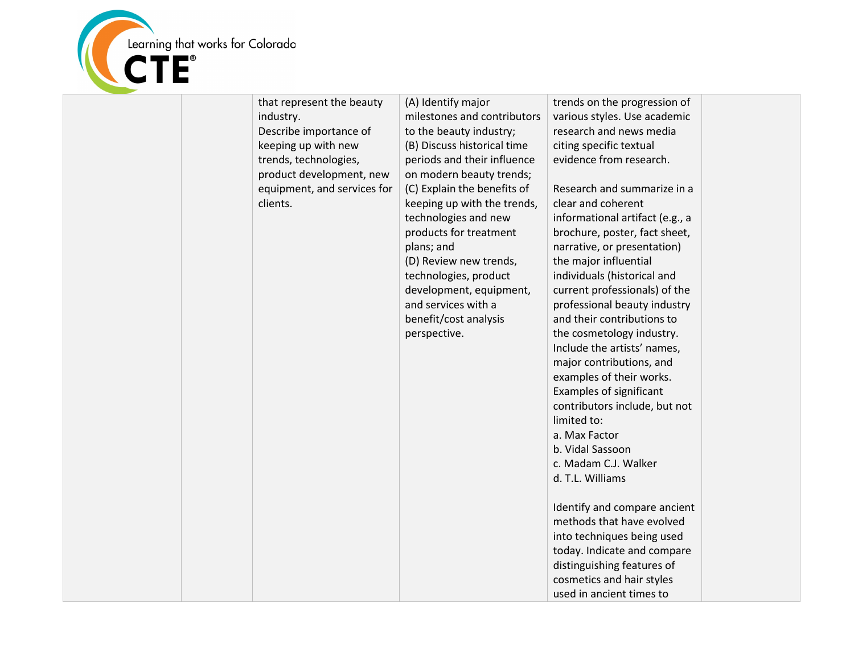

| that represent the beauty<br>industry.<br>Describe importance of<br>keeping up with new<br>trends, technologies,<br>product development, new<br>equipment, and services for<br>clients. | (A) Identify major<br>milestones and contributors<br>to the beauty industry;<br>(B) Discuss historical time<br>periods and their influence<br>on modern beauty trends;<br>(C) Explain the benefits of<br>keeping up with the trends,<br>technologies and new<br>products for treatment<br>plans; and<br>(D) Review new trends,<br>technologies, product<br>development, equipment,<br>and services with a<br>benefit/cost analysis<br>perspective. | trends on the progression of<br>various styles. Use academic<br>research and news media<br>citing specific textual<br>evidence from research.<br>Research and summarize in a<br>clear and coherent<br>informational artifact (e.g., a<br>brochure, poster, fact sheet,<br>narrative, or presentation)<br>the major influential<br>individuals (historical and<br>current professionals) of the<br>professional beauty industry<br>and their contributions to<br>the cosmetology industry.<br>Include the artists' names,<br>major contributions, and<br>examples of their works.<br><b>Examples of significant</b><br>contributors include, but not<br>limited to:<br>a. Max Factor<br>b. Vidal Sassoon<br>c. Madam C.J. Walker<br>d. T.L. Williams<br>Identify and compare ancient<br>methods that have evolved<br>into techniques being used<br>today. Indicate and compare<br>distinguishing features of<br>cosmetics and hair styles<br>used in ancient times to |  |
|-----------------------------------------------------------------------------------------------------------------------------------------------------------------------------------------|----------------------------------------------------------------------------------------------------------------------------------------------------------------------------------------------------------------------------------------------------------------------------------------------------------------------------------------------------------------------------------------------------------------------------------------------------|----------------------------------------------------------------------------------------------------------------------------------------------------------------------------------------------------------------------------------------------------------------------------------------------------------------------------------------------------------------------------------------------------------------------------------------------------------------------------------------------------------------------------------------------------------------------------------------------------------------------------------------------------------------------------------------------------------------------------------------------------------------------------------------------------------------------------------------------------------------------------------------------------------------------------------------------------------------------|--|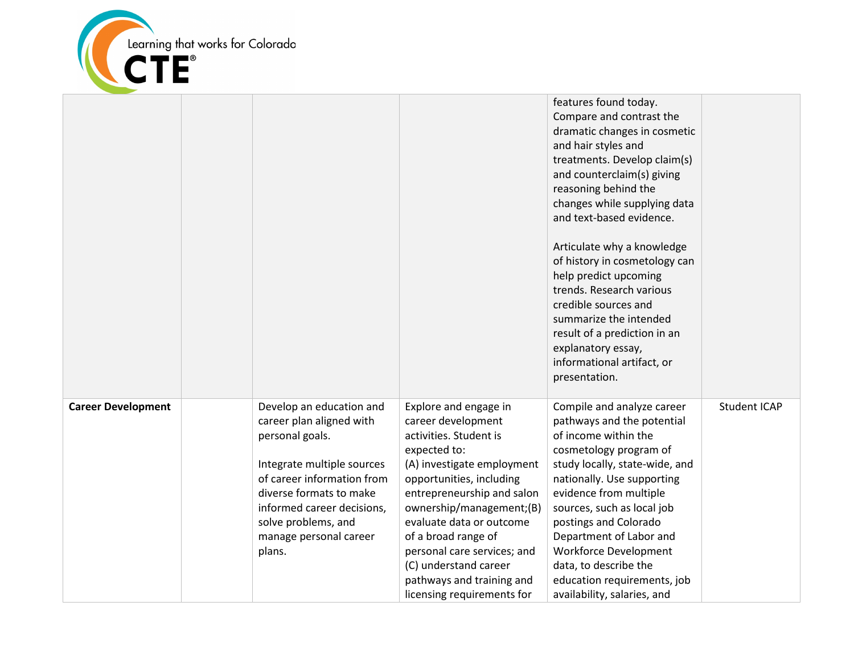

|                           |                                                                                                                                                                                                                                                         |                                                                                                                                                                                                                                                                                                                                                                                 | features found today.<br>Compare and contrast the<br>dramatic changes in cosmetic<br>and hair styles and<br>treatments. Develop claim(s)<br>and counterclaim(s) giving<br>reasoning behind the<br>changes while supplying data<br>and text-based evidence.<br>Articulate why a knowledge<br>of history in cosmetology can<br>help predict upcoming<br>trends. Research various<br>credible sources and<br>summarize the intended<br>result of a prediction in an<br>explanatory essay,<br>informational artifact, or<br>presentation. |                     |
|---------------------------|---------------------------------------------------------------------------------------------------------------------------------------------------------------------------------------------------------------------------------------------------------|---------------------------------------------------------------------------------------------------------------------------------------------------------------------------------------------------------------------------------------------------------------------------------------------------------------------------------------------------------------------------------|---------------------------------------------------------------------------------------------------------------------------------------------------------------------------------------------------------------------------------------------------------------------------------------------------------------------------------------------------------------------------------------------------------------------------------------------------------------------------------------------------------------------------------------|---------------------|
| <b>Career Development</b> | Develop an education and<br>career plan aligned with<br>personal goals.<br>Integrate multiple sources<br>of career information from<br>diverse formats to make<br>informed career decisions,<br>solve problems, and<br>manage personal career<br>plans. | Explore and engage in<br>career development<br>activities. Student is<br>expected to:<br>(A) investigate employment<br>opportunities, including<br>entrepreneurship and salon<br>ownership/management;(B)<br>evaluate data or outcome<br>of a broad range of<br>personal care services; and<br>(C) understand career<br>pathways and training and<br>licensing requirements for | Compile and analyze career<br>pathways and the potential<br>of income within the<br>cosmetology program of<br>study locally, state-wide, and<br>nationally. Use supporting<br>evidence from multiple<br>sources, such as local job<br>postings and Colorado<br>Department of Labor and<br>Workforce Development<br>data, to describe the<br>education requirements, job<br>availability, salaries, and                                                                                                                                | <b>Student ICAP</b> |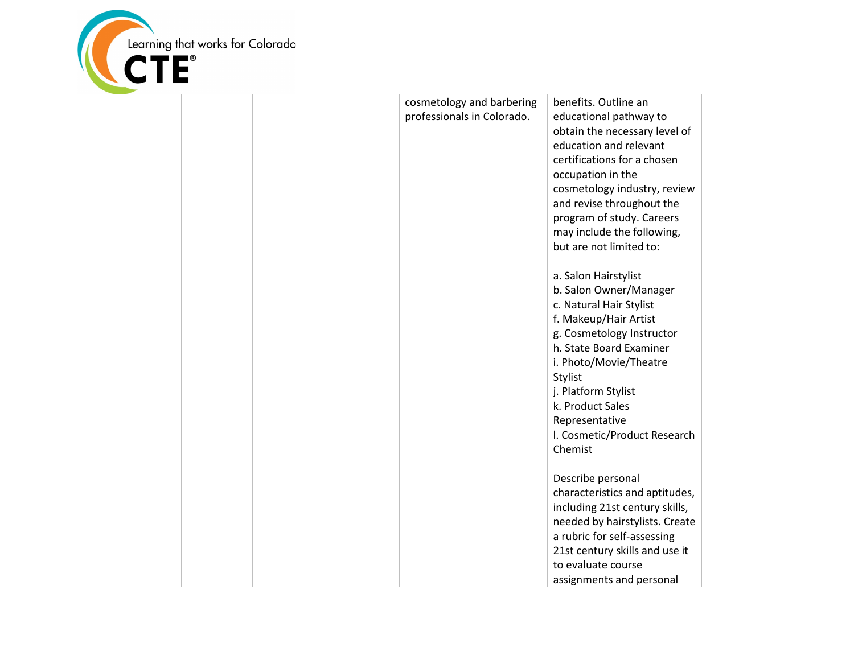

|  | cosmetology and barbering  | benefits. Outline an           |  |
|--|----------------------------|--------------------------------|--|
|  | professionals in Colorado. | educational pathway to         |  |
|  |                            | obtain the necessary level of  |  |
|  |                            | education and relevant         |  |
|  |                            | certifications for a chosen    |  |
|  |                            | occupation in the              |  |
|  |                            | cosmetology industry, review   |  |
|  |                            | and revise throughout the      |  |
|  |                            | program of study. Careers      |  |
|  |                            | may include the following,     |  |
|  |                            | but are not limited to:        |  |
|  |                            |                                |  |
|  |                            | a. Salon Hairstylist           |  |
|  |                            | b. Salon Owner/Manager         |  |
|  |                            | c. Natural Hair Stylist        |  |
|  |                            | f. Makeup/Hair Artist          |  |
|  |                            | g. Cosmetology Instructor      |  |
|  |                            | h. State Board Examiner        |  |
|  |                            | i. Photo/Movie/Theatre         |  |
|  |                            | Stylist                        |  |
|  |                            | j. Platform Stylist            |  |
|  |                            | k. Product Sales               |  |
|  |                            | Representative                 |  |
|  |                            | I. Cosmetic/Product Research   |  |
|  |                            | Chemist                        |  |
|  |                            |                                |  |
|  |                            | Describe personal              |  |
|  |                            | characteristics and aptitudes, |  |
|  |                            | including 21st century skills, |  |
|  |                            | needed by hairstylists. Create |  |
|  |                            | a rubric for self-assessing    |  |
|  |                            | 21st century skills and use it |  |
|  |                            | to evaluate course             |  |
|  |                            | assignments and personal       |  |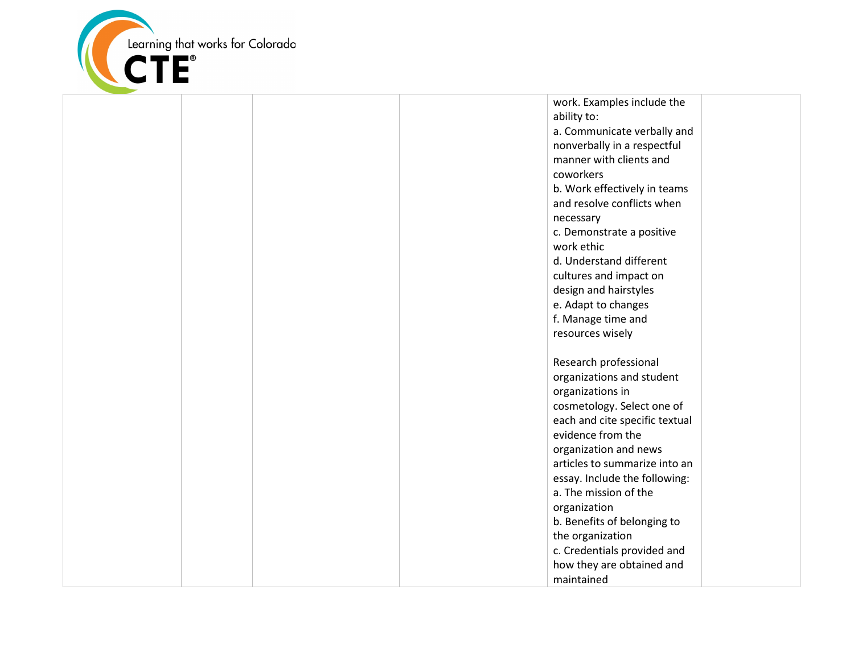

work. Examples include the ability to: a. Communicate verbally and nonverbally in a respectful manner with clients and coworkers b. Work effectively in teams and resolve conflicts when necessary c. Demonstrate a positive work ethic d. Understand different cultures and impact on design and hairstyles e. Adapt to changes f. Manage time and resources wisely Research professional organizations and student organizations in cosmetology. Select one of each and cite specific textual evidence from the organization and news articles to summarize into an essay. Include the following: a. The mission of the organization b. Benefits of belonging to the organization c. Credentials provided and how they are obtained and maintained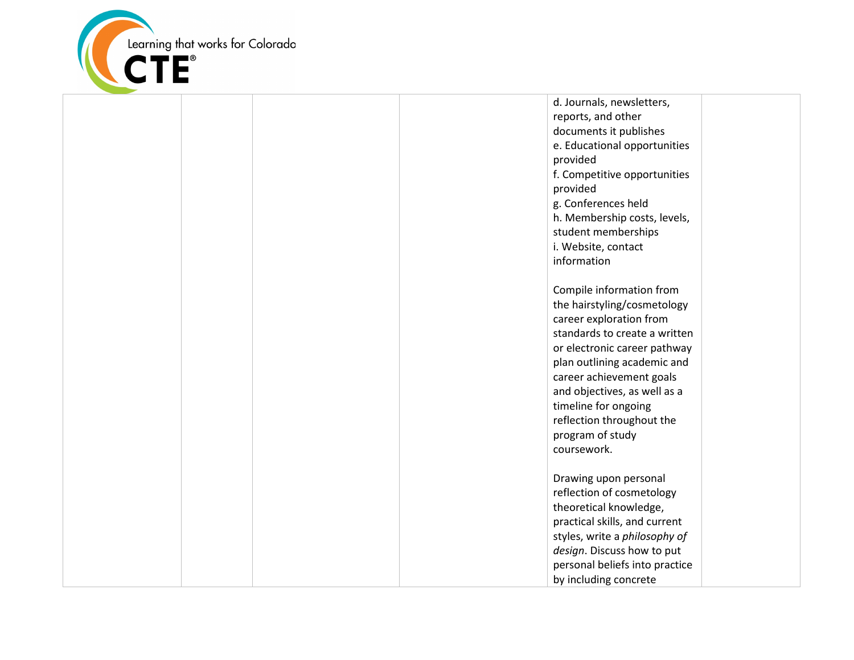

d. Journals, newsletters, reports, and other documents it publishes e. Educational opportunities provided f. Competitive opportunities provided g. Conferences held h. Membership costs, levels, student memberships i. Website, contact information Compile information from the hairstyling/cosmetology career exploration from standards to create a written or electronic career pathway plan outlining academic and career achievement goals and objectives, as well as a timeline for ongoing reflection throughout the program of study coursework. Drawing upon personal reflection of cosmetology theoretical knowledge, practical skills, and current

styles, write a *philosophy of design*. Discuss how to put personal beliefs into practice by including concrete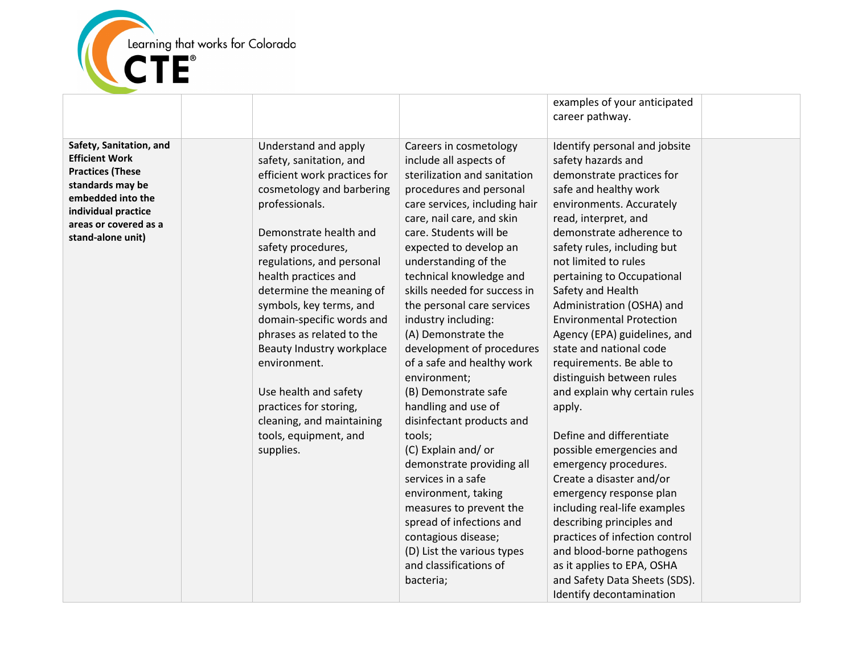

|                                                                                                                                                                                           |                                                                                                                                                                                                                                                                                                                                                                                                                                                                                                                         |                                                                                                                                                                                                                                                                                                                                                                                                                                                                                                                                                                                                                                                                                                                                                                                                                  | examples of your anticipated<br>career pathway.                                                                                                                                                                                                                                                                                                                                                                                                                                                                                                                                                                                                                                                                                                                                                                                                                                                   |  |
|-------------------------------------------------------------------------------------------------------------------------------------------------------------------------------------------|-------------------------------------------------------------------------------------------------------------------------------------------------------------------------------------------------------------------------------------------------------------------------------------------------------------------------------------------------------------------------------------------------------------------------------------------------------------------------------------------------------------------------|------------------------------------------------------------------------------------------------------------------------------------------------------------------------------------------------------------------------------------------------------------------------------------------------------------------------------------------------------------------------------------------------------------------------------------------------------------------------------------------------------------------------------------------------------------------------------------------------------------------------------------------------------------------------------------------------------------------------------------------------------------------------------------------------------------------|---------------------------------------------------------------------------------------------------------------------------------------------------------------------------------------------------------------------------------------------------------------------------------------------------------------------------------------------------------------------------------------------------------------------------------------------------------------------------------------------------------------------------------------------------------------------------------------------------------------------------------------------------------------------------------------------------------------------------------------------------------------------------------------------------------------------------------------------------------------------------------------------------|--|
| Safety, Sanitation, and<br><b>Efficient Work</b><br><b>Practices (These</b><br>standards may be<br>embedded into the<br>individual practice<br>areas or covered as a<br>stand-alone unit) | Understand and apply<br>safety, sanitation, and<br>efficient work practices for<br>cosmetology and barbering<br>professionals.<br>Demonstrate health and<br>safety procedures,<br>regulations, and personal<br>health practices and<br>determine the meaning of<br>symbols, key terms, and<br>domain-specific words and<br>phrases as related to the<br>Beauty Industry workplace<br>environment.<br>Use health and safety<br>practices for storing,<br>cleaning, and maintaining<br>tools, equipment, and<br>supplies. | Careers in cosmetology<br>include all aspects of<br>sterilization and sanitation<br>procedures and personal<br>care services, including hair<br>care, nail care, and skin<br>care. Students will be<br>expected to develop an<br>understanding of the<br>technical knowledge and<br>skills needed for success in<br>the personal care services<br>industry including:<br>(A) Demonstrate the<br>development of procedures<br>of a safe and healthy work<br>environment;<br>(B) Demonstrate safe<br>handling and use of<br>disinfectant products and<br>tools;<br>(C) Explain and/or<br>demonstrate providing all<br>services in a safe<br>environment, taking<br>measures to prevent the<br>spread of infections and<br>contagious disease;<br>(D) List the various types<br>and classifications of<br>bacteria; | Identify personal and jobsite<br>safety hazards and<br>demonstrate practices for<br>safe and healthy work<br>environments. Accurately<br>read, interpret, and<br>demonstrate adherence to<br>safety rules, including but<br>not limited to rules<br>pertaining to Occupational<br>Safety and Health<br>Administration (OSHA) and<br><b>Environmental Protection</b><br>Agency (EPA) guidelines, and<br>state and national code<br>requirements. Be able to<br>distinguish between rules<br>and explain why certain rules<br>apply.<br>Define and differentiate<br>possible emergencies and<br>emergency procedures.<br>Create a disaster and/or<br>emergency response plan<br>including real-life examples<br>describing principles and<br>practices of infection control<br>and blood-borne pathogens<br>as it applies to EPA, OSHA<br>and Safety Data Sheets (SDS).<br>Identify decontamination |  |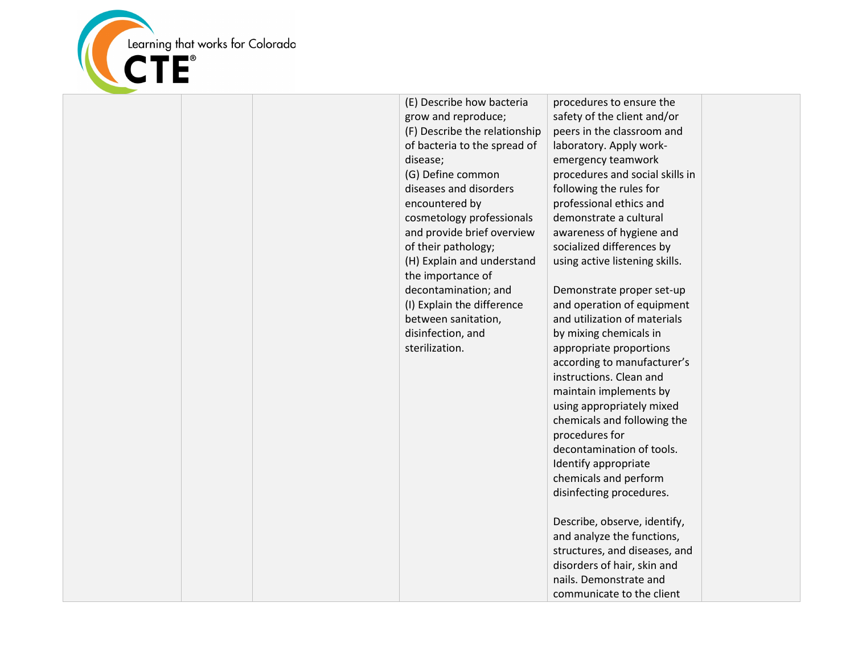

(E) Describe how bacteria grow and reproduce; (F) Describe the relationship of bacteria to the spread of disease; (G) Define common diseases and disorders encountered by cosmetology professionals and provide brief overview of their pathology; (H) Explain and understand the importance of decontamination; and (I) Explain the difference between sanitation, disinfection, and sterilization.

procedures to ensure the safety of the client and/or peers in the classroom and laboratory. Apply workemergency teamwork procedures and social skills in following the rules for professional ethics and demonstrate a cultural awareness of hygiene and socialized differences by using active listening skills.

Demonstrate proper set-up and operation of equipment and utilization of materials by mixing chemicals in appropriate proportions according to manufacturer's instructions. Clean and maintain implements by using appropriately mixed chemicals and following the procedures for decontamination of tools. Identify appropriate chemicals and perform disinfecting procedures. Describe, observe, identify, and analyze the functions, structures, and diseases, and disorders of hair, skin and

nails. Demonstrate and communicate to the client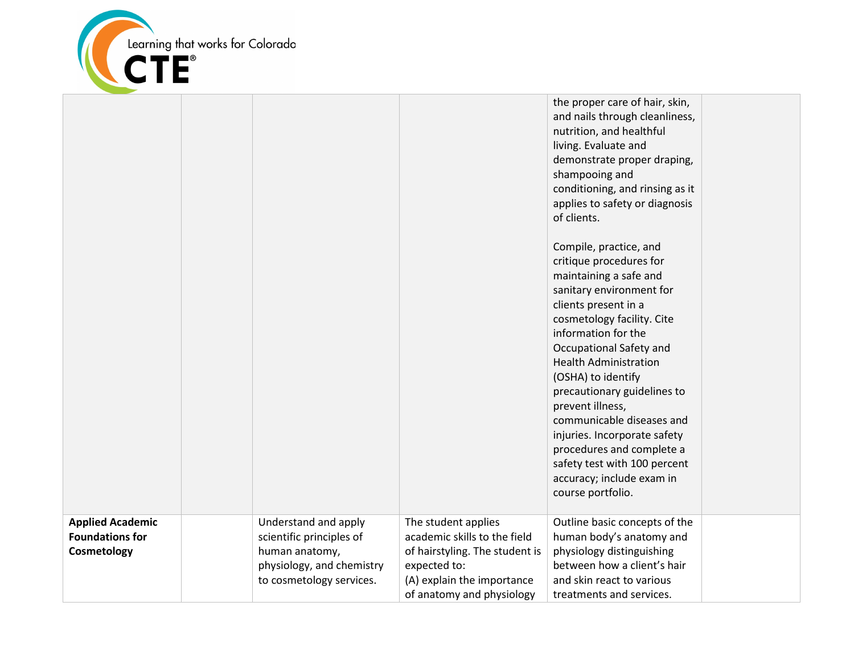

|                                                                  |                                                                                                                             |                                                                                                                                                                  | the proper care of hair, skin,<br>and nails through cleanliness,<br>nutrition, and healthful<br>living. Evaluate and<br>demonstrate proper draping,<br>shampooing and<br>conditioning, and rinsing as it<br>applies to safety or diagnosis<br>of clients.<br>Compile, practice, and<br>critique procedures for<br>maintaining a safe and<br>sanitary environment for<br>clients present in a<br>cosmetology facility. Cite<br>information for the<br>Occupational Safety and<br><b>Health Administration</b><br>(OSHA) to identify<br>precautionary guidelines to<br>prevent illness,<br>communicable diseases and<br>injuries. Incorporate safety<br>procedures and complete a<br>safety test with 100 percent<br>accuracy; include exam in<br>course portfolio. |  |
|------------------------------------------------------------------|-----------------------------------------------------------------------------------------------------------------------------|------------------------------------------------------------------------------------------------------------------------------------------------------------------|-------------------------------------------------------------------------------------------------------------------------------------------------------------------------------------------------------------------------------------------------------------------------------------------------------------------------------------------------------------------------------------------------------------------------------------------------------------------------------------------------------------------------------------------------------------------------------------------------------------------------------------------------------------------------------------------------------------------------------------------------------------------|--|
| <b>Applied Academic</b><br><b>Foundations for</b><br>Cosmetology | Understand and apply<br>scientific principles of<br>human anatomy,<br>physiology, and chemistry<br>to cosmetology services. | The student applies<br>academic skills to the field<br>of hairstyling. The student is<br>expected to:<br>(A) explain the importance<br>of anatomy and physiology | Outline basic concepts of the<br>human body's anatomy and<br>physiology distinguishing<br>between how a client's hair<br>and skin react to various<br>treatments and services.                                                                                                                                                                                                                                                                                                                                                                                                                                                                                                                                                                                    |  |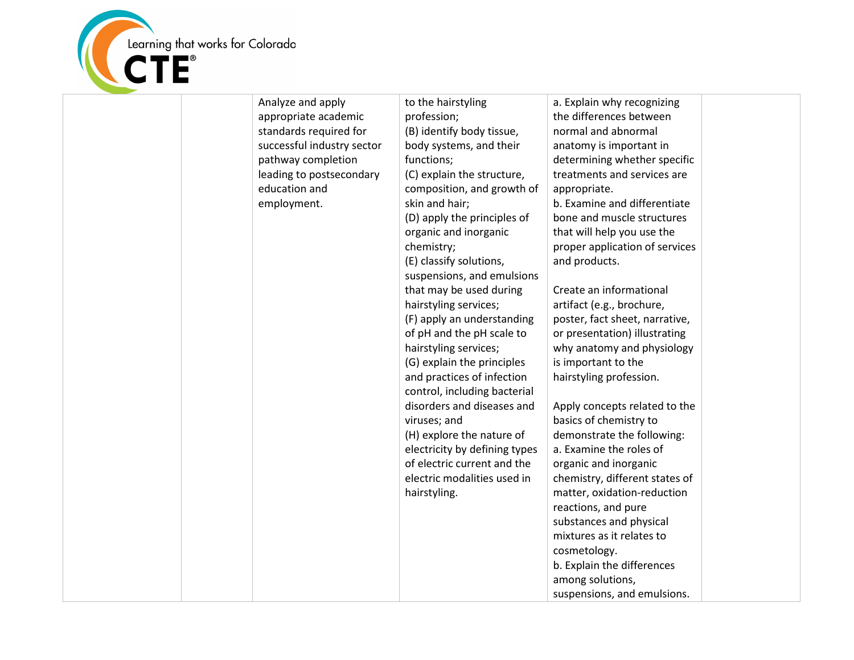

| Analyze and apply<br>appropriate academic<br>standards required for<br>successful industry sector<br>pathway completion<br>leading to postsecondary<br>education and<br>employment. | to the hairstyling<br>profession;<br>(B) identify body tissue,<br>body systems, and their<br>functions;<br>(C) explain the structure,<br>composition, and growth of<br>skin and hair;<br>(D) apply the principles of<br>organic and inorganic<br>chemistry;<br>(E) classify solutions,<br>suspensions, and emulsions<br>that may be used during<br>hairstyling services;<br>(F) apply an understanding<br>of pH and the pH scale to<br>hairstyling services;<br>(G) explain the principles<br>and practices of infection<br>control, including bacterial<br>disorders and diseases and<br>viruses; and<br>(H) explore the nature of<br>electricity by defining types<br>of electric current and the<br>electric modalities used in<br>hairstyling. | a. Explain why recognizing<br>the differences between<br>normal and abnormal<br>anatomy is important in<br>determining whether specific<br>treatments and services are<br>appropriate.<br>b. Examine and differentiate<br>bone and muscle structures<br>that will help you use the<br>proper application of services<br>and products.<br>Create an informational<br>artifact (e.g., brochure,<br>poster, fact sheet, narrative,<br>or presentation) illustrating<br>why anatomy and physiology<br>is important to the<br>hairstyling profession.<br>Apply concepts related to the<br>basics of chemistry to<br>demonstrate the following:<br>a. Examine the roles of<br>organic and inorganic<br>chemistry, different states of<br>matter, oxidation-reduction<br>reactions, and pure<br>substances and physical<br>mixtures as it relates to<br>cosmetology.<br>b. Explain the differences<br>among solutions,<br>suspensions, and emulsions. |  |
|-------------------------------------------------------------------------------------------------------------------------------------------------------------------------------------|----------------------------------------------------------------------------------------------------------------------------------------------------------------------------------------------------------------------------------------------------------------------------------------------------------------------------------------------------------------------------------------------------------------------------------------------------------------------------------------------------------------------------------------------------------------------------------------------------------------------------------------------------------------------------------------------------------------------------------------------------|------------------------------------------------------------------------------------------------------------------------------------------------------------------------------------------------------------------------------------------------------------------------------------------------------------------------------------------------------------------------------------------------------------------------------------------------------------------------------------------------------------------------------------------------------------------------------------------------------------------------------------------------------------------------------------------------------------------------------------------------------------------------------------------------------------------------------------------------------------------------------------------------------------------------------------------------|--|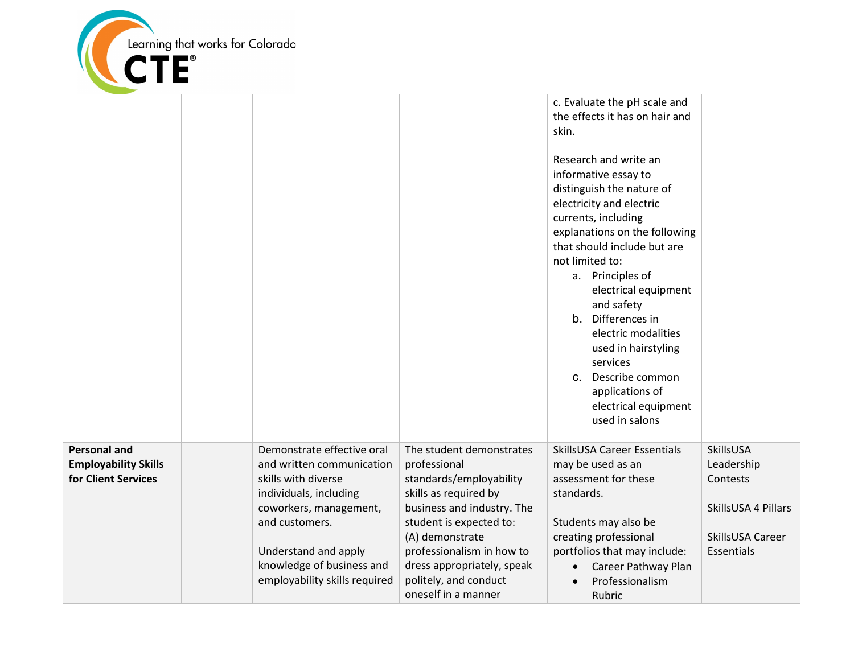

|                                                                           |                                                                                                                                                                                                           |                                                                                                                                                                                                                                     | c. Evaluate the pH scale and<br>the effects it has on hair and<br>skin.<br>Research and write an<br>informative essay to<br>distinguish the nature of<br>electricity and electric<br>currents, including<br>explanations on the following<br>that should include but are<br>not limited to:<br>a. Principles of<br>electrical equipment<br>and safety<br>b. Differences in<br>electric modalities<br>used in hairstyling<br>services<br>Describe common<br>$C_{\cdot}$<br>applications of<br>electrical equipment<br>used in salons |                                                                                              |
|---------------------------------------------------------------------------|-----------------------------------------------------------------------------------------------------------------------------------------------------------------------------------------------------------|-------------------------------------------------------------------------------------------------------------------------------------------------------------------------------------------------------------------------------------|-------------------------------------------------------------------------------------------------------------------------------------------------------------------------------------------------------------------------------------------------------------------------------------------------------------------------------------------------------------------------------------------------------------------------------------------------------------------------------------------------------------------------------------|----------------------------------------------------------------------------------------------|
|                                                                           |                                                                                                                                                                                                           |                                                                                                                                                                                                                                     |                                                                                                                                                                                                                                                                                                                                                                                                                                                                                                                                     |                                                                                              |
| <b>Personal and</b><br><b>Employability Skills</b><br>for Client Services | Demonstrate effective oral<br>and written communication<br>skills with diverse<br>individuals, including<br>coworkers, management,<br>and customers.<br>Understand and apply<br>knowledge of business and | The student demonstrates<br>professional<br>standards/employability<br>skills as required by<br>business and industry. The<br>student is expected to:<br>(A) demonstrate<br>professionalism in how to<br>dress appropriately, speak | SkillsUSA Career Essentials<br>may be used as an<br>assessment for these<br>standards.<br>Students may also be<br>creating professional<br>portfolios that may include:<br>Career Pathway Plan                                                                                                                                                                                                                                                                                                                                      | SkillsUSA<br>Leadership<br>Contests<br>SkillsUSA 4 Pillars<br>SkillsUSA Career<br>Essentials |
|                                                                           | employability skills required                                                                                                                                                                             | politely, and conduct<br>oneself in a manner                                                                                                                                                                                        | Professionalism<br>Rubric                                                                                                                                                                                                                                                                                                                                                                                                                                                                                                           |                                                                                              |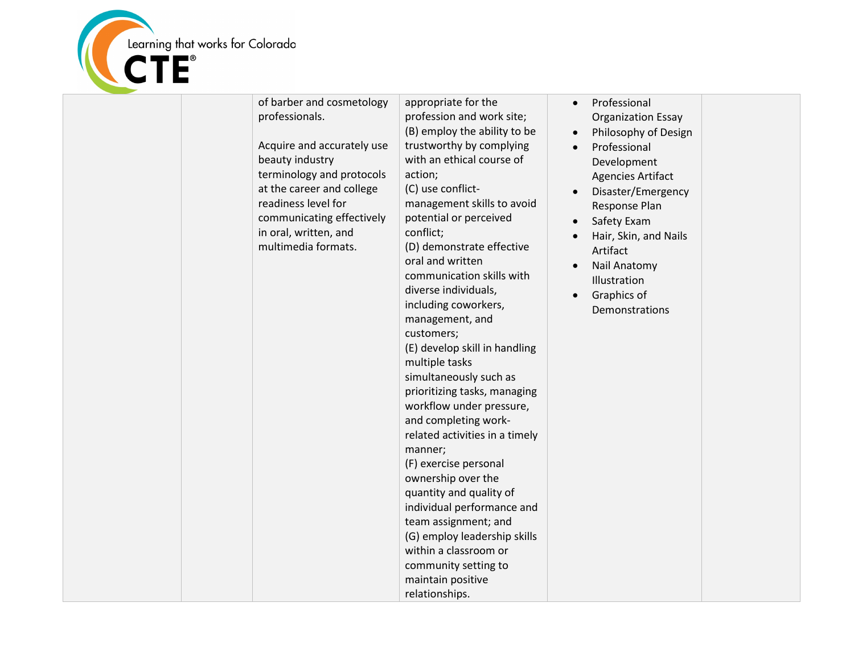

| of barber and cosmetology<br>professionals.<br>Acquire and accurately use<br>beauty industry<br>terminology and protocols<br>at the career and college<br>readiness level for<br>communicating effectively<br>in oral, written, and<br>multimedia formats. | appropriate for the<br>profession and work site;<br>(B) employ the ability to be<br>trustworthy by complying<br>with an ethical course of<br>action;<br>(C) use conflict-<br>management skills to avoid<br>potential or perceived<br>conflict;<br>(D) demonstrate effective<br>oral and written<br>communication skills with<br>diverse individuals,<br>including coworkers,<br>management, and<br>customers;<br>(E) develop skill in handling<br>multiple tasks<br>simultaneously such as<br>prioritizing tasks, managing<br>workflow under pressure,<br>and completing work-<br>related activities in a timely<br>manner;<br>(F) exercise personal<br>ownership over the<br>quantity and quality of<br>individual performance and<br>team assignment; and<br>(G) employ leadership skills<br>within a classroom or<br>community setting to<br>maintain positive<br>relationships. | Professional<br><b>Organization Essay</b><br>Philosophy of Design<br>Professional<br>Development<br><b>Agencies Artifact</b><br>Disaster/Emergency<br>Response Plan<br>Safety Exam<br>Hair, Skin, and Nails<br>Artifact<br>Nail Anatomy<br>Illustration<br>Graphics of<br>Demonstrations |  |
|------------------------------------------------------------------------------------------------------------------------------------------------------------------------------------------------------------------------------------------------------------|-------------------------------------------------------------------------------------------------------------------------------------------------------------------------------------------------------------------------------------------------------------------------------------------------------------------------------------------------------------------------------------------------------------------------------------------------------------------------------------------------------------------------------------------------------------------------------------------------------------------------------------------------------------------------------------------------------------------------------------------------------------------------------------------------------------------------------------------------------------------------------------|------------------------------------------------------------------------------------------------------------------------------------------------------------------------------------------------------------------------------------------------------------------------------------------|--|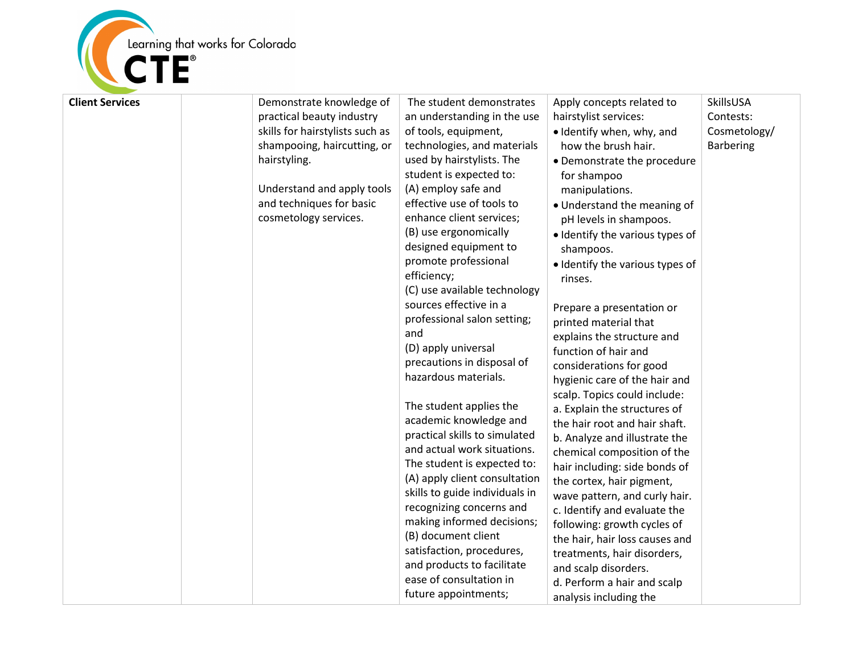

| <b>Client Services</b> | Demonstrate knowledge of<br>practical beauty industry<br>skills for hairstylists such as<br>shampooing, haircutting, or<br>hairstyling.<br>Understand and apply tools<br>and techniques for basic<br>cosmetology services. | The student demonstrates<br>an understanding in the use<br>of tools, equipment,<br>technologies, and materials<br>used by hairstylists. The<br>student is expected to:<br>(A) employ safe and<br>effective use of tools to<br>enhance client services;<br>(B) use ergonomically<br>designed equipment to<br>promote professional<br>efficiency;<br>(C) use available technology<br>sources effective in a<br>professional salon setting;<br>and<br>(D) apply universal<br>precautions in disposal of<br>hazardous materials.<br>The student applies the<br>academic knowledge and<br>practical skills to simulated<br>and actual work situations.<br>The student is expected to:<br>(A) apply client consultation<br>skills to guide individuals in<br>recognizing concerns and<br>making informed decisions;<br>(B) document client<br>satisfaction, procedures,<br>and products to facilitate<br>ease of consultation in<br>future appointments; | Apply concepts related to<br>hairstylist services:<br>• Identify when, why, and<br>how the brush hair.<br>• Demonstrate the procedure<br>for shampoo<br>manipulations.<br>• Understand the meaning of<br>pH levels in shampoos.<br>· Identify the various types of<br>shampoos.<br>· Identify the various types of<br>rinses.<br>Prepare a presentation or<br>printed material that<br>explains the structure and<br>function of hair and<br>considerations for good<br>hygienic care of the hair and<br>scalp. Topics could include:<br>a. Explain the structures of<br>the hair root and hair shaft.<br>b. Analyze and illustrate the<br>chemical composition of the<br>hair including: side bonds of<br>the cortex, hair pigment,<br>wave pattern, and curly hair.<br>c. Identify and evaluate the<br>following: growth cycles of<br>the hair, hair loss causes and<br>treatments, hair disorders,<br>and scalp disorders.<br>d. Perform a hair and scalp<br>analysis including the | SkillsUSA<br>Contests:<br>Cosmetology/<br><b>Barbering</b> |
|------------------------|----------------------------------------------------------------------------------------------------------------------------------------------------------------------------------------------------------------------------|----------------------------------------------------------------------------------------------------------------------------------------------------------------------------------------------------------------------------------------------------------------------------------------------------------------------------------------------------------------------------------------------------------------------------------------------------------------------------------------------------------------------------------------------------------------------------------------------------------------------------------------------------------------------------------------------------------------------------------------------------------------------------------------------------------------------------------------------------------------------------------------------------------------------------------------------------|----------------------------------------------------------------------------------------------------------------------------------------------------------------------------------------------------------------------------------------------------------------------------------------------------------------------------------------------------------------------------------------------------------------------------------------------------------------------------------------------------------------------------------------------------------------------------------------------------------------------------------------------------------------------------------------------------------------------------------------------------------------------------------------------------------------------------------------------------------------------------------------------------------------------------------------------------------------------------------------|------------------------------------------------------------|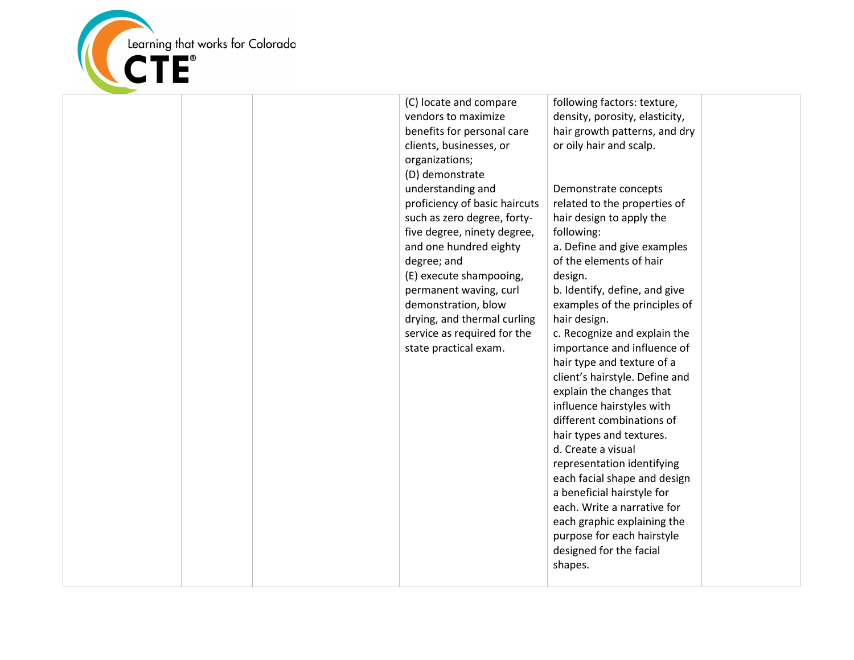

| following factors: texture,<br>(C) locate and compare<br>vendors to maximize<br>density, porosity, elasticity,<br>benefits for personal care<br>hair growth patterns, and dry<br>clients, businesses, or<br>or oily hair and scalp.<br>organizations;<br>(D) demonstrate<br>understanding and<br>Demonstrate concepts<br>proficiency of basic haircuts<br>related to the properties of<br>such as zero degree, forty-<br>hair design to apply the<br>five degree, ninety degree,<br>following:<br>a. Define and give examples<br>and one hundred eighty<br>of the elements of hair<br>degree; and<br>(E) execute shampooing,<br>design.<br>permanent waving, curl<br>b. Identify, define, and give<br>demonstration, blow<br>examples of the principles of<br>drying, and thermal curling<br>hair design.<br>service as required for the<br>c. Recognize and explain the<br>state practical exam.<br>importance and influence of<br>hair type and texture of a<br>client's hairstyle. Define and<br>explain the changes that<br>influence hairstyles with<br>different combinations of<br>hair types and textures.<br>d. Create a visual<br>representation identifying<br>each facial shape and design<br>a beneficial hairstyle for<br>each. Write a narrative for<br>each graphic explaining the<br>purpose for each hairstyle<br>designed for the facial<br>shapes. |  |  |
|------------------------------------------------------------------------------------------------------------------------------------------------------------------------------------------------------------------------------------------------------------------------------------------------------------------------------------------------------------------------------------------------------------------------------------------------------------------------------------------------------------------------------------------------------------------------------------------------------------------------------------------------------------------------------------------------------------------------------------------------------------------------------------------------------------------------------------------------------------------------------------------------------------------------------------------------------------------------------------------------------------------------------------------------------------------------------------------------------------------------------------------------------------------------------------------------------------------------------------------------------------------------------------------------------------------------------------------------------------------------|--|--|
|                                                                                                                                                                                                                                                                                                                                                                                                                                                                                                                                                                                                                                                                                                                                                                                                                                                                                                                                                                                                                                                                                                                                                                                                                                                                                                                                                                        |  |  |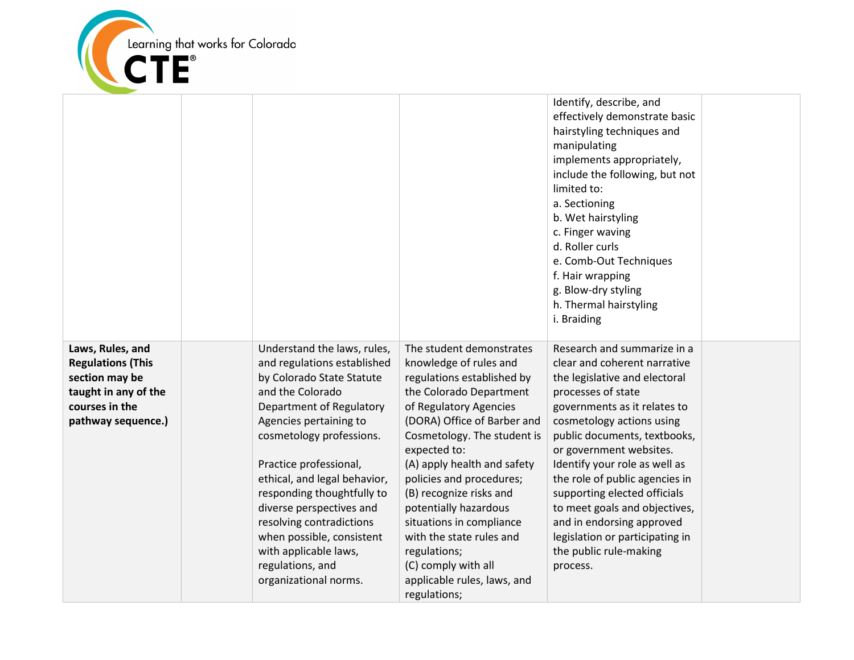

| Identify, describe, and<br>effectively demonstrate basic                                                                                                                                                                                                                                                             |  |
|----------------------------------------------------------------------------------------------------------------------------------------------------------------------------------------------------------------------------------------------------------------------------------------------------------------------|--|
| hairstyling techniques and<br>manipulating<br>implements appropriately,<br>include the following, but not<br>limited to:<br>a. Sectioning<br>b. Wet hairstyling<br>c. Finger waving<br>d. Roller curls<br>e. Comb-Out Techniques<br>f. Hair wrapping<br>g. Blow-dry styling<br>h. Thermal hairstyling<br>i. Braiding |  |
| Laws, Rules, and<br>Understand the laws, rules,<br>The student demonstrates<br>Research and summarize in a                                                                                                                                                                                                           |  |
| <b>Regulations (This</b><br>and regulations established<br>knowledge of rules and<br>clear and coherent narrative                                                                                                                                                                                                    |  |
| section may be<br>by Colorado State Statute<br>regulations established by<br>the legislative and electoral                                                                                                                                                                                                           |  |
| taught in any of the<br>and the Colorado<br>the Colorado Department<br>processes of state                                                                                                                                                                                                                            |  |
| courses in the<br>Department of Regulatory<br>of Regulatory Agencies<br>governments as it relates to                                                                                                                                                                                                                 |  |
| Agencies pertaining to<br>(DORA) Office of Barber and<br>pathway sequence.)<br>cosmetology actions using                                                                                                                                                                                                             |  |
| cosmetology professions.<br>Cosmetology. The student is<br>public documents, textbooks,                                                                                                                                                                                                                              |  |
| expected to:<br>or government websites.                                                                                                                                                                                                                                                                              |  |
| Practice professional,<br>(A) apply health and safety<br>Identify your role as well as                                                                                                                                                                                                                               |  |
| ethical, and legal behavior,<br>the role of public agencies in<br>policies and procedures;<br>(B) recognize risks and<br>supporting elected officials<br>responding thoughtfully to                                                                                                                                  |  |
| diverse perspectives and<br>potentially hazardous<br>to meet goals and objectives,                                                                                                                                                                                                                                   |  |
| resolving contradictions<br>and in endorsing approved<br>situations in compliance                                                                                                                                                                                                                                    |  |
| when possible, consistent<br>with the state rules and<br>legislation or participating in                                                                                                                                                                                                                             |  |
| with applicable laws,<br>the public rule-making<br>regulations;                                                                                                                                                                                                                                                      |  |
| regulations, and<br>(C) comply with all<br>process.                                                                                                                                                                                                                                                                  |  |
|                                                                                                                                                                                                                                                                                                                      |  |
| organizational norms.<br>applicable rules, laws, and                                                                                                                                                                                                                                                                 |  |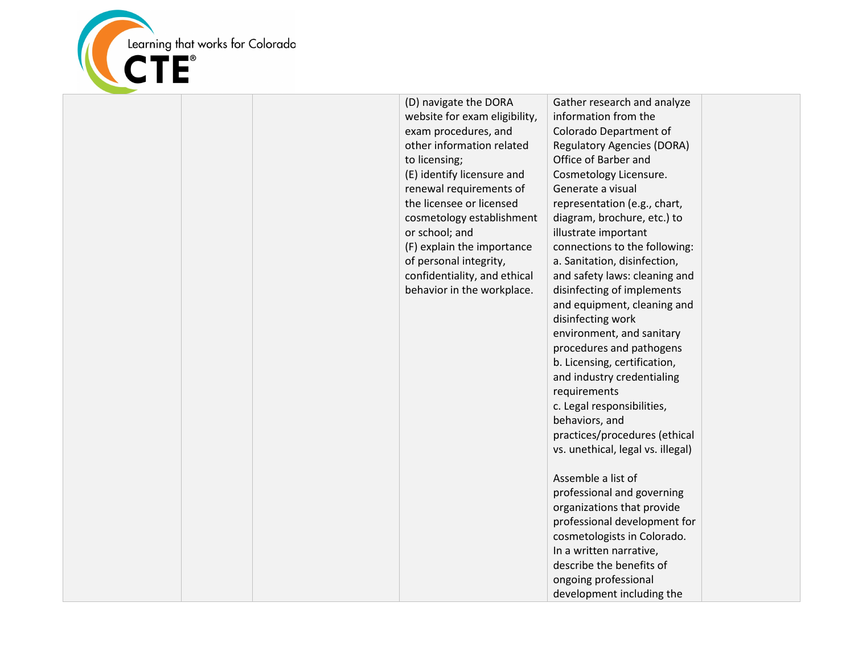

(D) navigate the DORA website for exam eligibility, exam procedures, and other information related to licensing; (E) identify licensure and renewal requirements of the licensee or licensed cosmetology establishment or school; and (F) explain the importance of personal integrity, confidentiality, and ethical behavior in the workplace. Gather research and analyze information from the Colorado Department of Regulatory Agencies (DORA) Office of Barber and Cosmetology Licensure. Generate a visual representation (e.g., chart, diagram, brochure, etc.) to illustrate important connections to the following: a. Sanitation, disinfection, and safety laws: cleaning and disinfecting of implements and equipment, cleaning and disinfecting work environment, and sanitary procedures and pathogens b. Licensing, certification, and industry credentialing requirements c. Legal responsibilities, behaviors, and practices/procedures (ethical vs. unethical, legal vs. illegal) Assemble a list of professional and governing organizations that provide professional development for cosmetologists in Colorado. In a written narrative, describe the benefits of ongoing professional development including the